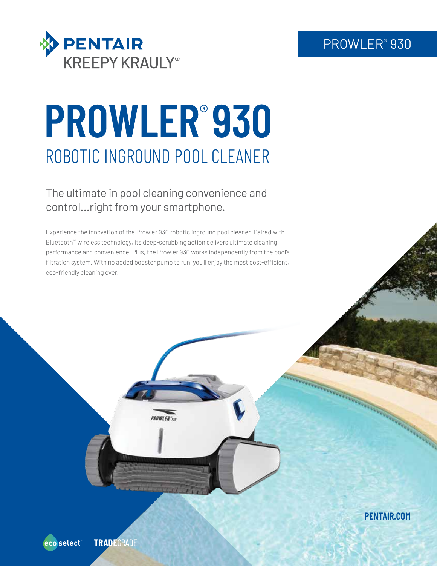# PROWLER® 930



# **PROWLER**® **930** ROBOTIC INGROUND POOL CLEANER

The ultimate in pool cleaning convenience and control...right from your smartphone.

Experience the innovation of the Prowler 930 robotic inground pool cleaner. Paired with Bluetooth<sup>\*</sup> wireless technology, its deep-scrubbing action delivers ultimate cleaning performance and convenience. Plus, the Prowler 930 works independently from the pool's filtration system. With no added booster pump to run, you'll enjoy the most cost-efficient, eco-friendly cleaning ever.

**PENTAIR.COM**

**Concert Concert Concert Concert Concert Concert Concert Concert Concert Concert Concert Concert Concert Concert**